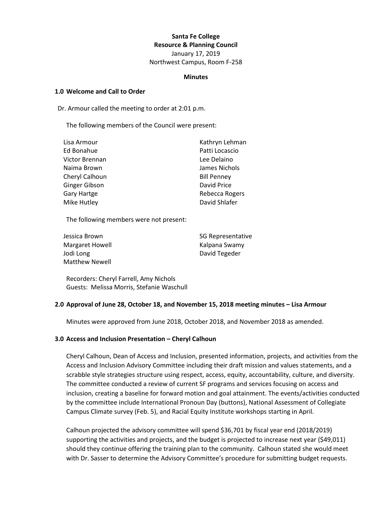## **Santa Fe College Resource & Planning Council**

January 17, 2019 Northwest Campus, Room F-258

#### **Minutes**

### **1.0 Welcome and Call to Order**

Dr. Armour called the meeting to order at 2:01 p.m.

The following members of the Council were present:

| Lisa Armour        | Kathryn Lehman     |
|--------------------|--------------------|
| Ed Bonahue         | Patti Locascio     |
| Victor Brennan     | Lee Delaino        |
| Naima Brown        | James Nichols      |
| Cheryl Calhoun     | <b>Bill Penney</b> |
| Ginger Gibson      | David Price        |
| <b>Gary Hartge</b> | Rebecca Rogers     |
| Mike Hutley        | David Shlafer      |

The following members were not present:

| Jessica Brown         | <b>SG Representative</b> |
|-----------------------|--------------------------|
| Margaret Howell       | Kalpana Swamy            |
| Jodi Long             | David Tegeder            |
| <b>Matthew Newell</b> |                          |

Recorders: Cheryl Farrell, Amy Nichols Guests: Melissa Morris, Stefanie Waschull

# **2.0 Approval of June 28, October 18, and November 15, 2018 meeting minutes – Lisa Armour**

Minutes were approved from June 2018, October 2018, and November 2018 as amended.

#### **3.0 Access and Inclusion Presentation – Cheryl Calhoun**

Cheryl Calhoun, Dean of Access and Inclusion, presented information, projects, and activities from the Access and Inclusion Advisory Committee including their draft mission and values statements, and a scrabble style strategies structure using respect, access, equity, accountability, culture, and diversity. The committee conducted a review of current SF programs and services focusing on access and inclusion, creating a baseline for forward motion and goal attainment. The events/activities conducted by the committee include International Pronoun Day (buttons), National Assessment of Collegiate Campus Climate survey (Feb. 5), and Racial Equity Institute workshops starting in April.

Calhoun projected the advisory committee will spend \$36,701 by fiscal year end (2018/2019) supporting the activities and projects, and the budget is projected to increase next year (\$49,011) should they continue offering the training plan to the community. Calhoun stated she would meet with Dr. Sasser to determine the Advisory Committee's procedure for submitting budget requests.